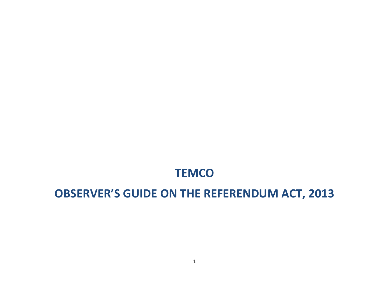# **TEMCO**

# **OBSERVER'S GUIDE ON THE REFERENDUM ACT, 2013**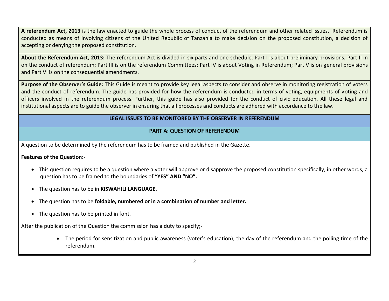**A referendum Act, 2013** is the law enacted to guide the whole process of conduct of the referendum and other related issues. Referendum is conducted as means of involving citizens of the United Republic of Tanzania to make decision on the proposed constitution, a decision of accepting or denying the proposed constitution.

**About the Referendum Act, 2013:** The referendum Act is divided in six parts and one schedule. Part I is about preliminary provisions; Part II in on the conduct of referendum; Part III is on the referendum Committees; Part IV is about Voting in Referendum; Part V is on general provisions and Part VI is on the consequential amendments.

**Purpose of the Observer's Guide:** This Guide is meant to provide key legal aspects to consider and observe in monitoring registration of voters and the conduct of referendum. The guide has provided for how the referendum is conducted in terms of voting, equipments of voting and officers involved in the referendum process. Further, this guide has also provided for the conduct of civic education. All these legal and institutional aspects are to guide the observer in ensuring that all processes and conducts are adhered with accordance to the law.

# **LEGAL ISSUES TO BE MONITORED BY THE OBSERVER IN REFERENDUM**

# **PART A: QUESTION OF REFERENDUM**

A question to be determined by the referendum has to be framed and published in the Gazette.

# **Features of the Question:-**

- This question requires to be a question where a voter will approve or disapprove the proposed constitution specifically, in other words, a question has to be framed to the boundaries of **"YES" AND "NO".**
- The question has to be in **KISWAHILI LANGUAGE**.
- The question has to be **foldable, numbered or in a combination of number and letter.**
- The question has to be printed in font.

After the publication of the Question the commission has a duty to specify;-

 The period for sensitization and public awareness (voter's education), the day of the referendum and the polling time of the referendum.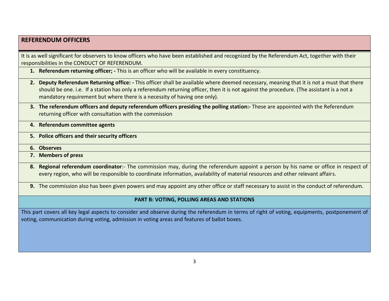# **REFERENDUM OFFICERS**

It is as well significant for observers to know officers who have been established and recognized by the Referendum Act, together with their responsibilities in the CONDUCT OF REFERENDUM.

- **1. Referendum returning officer; -** This is an officer who will be available in every constituency.
- **2. Deputy Referendum Returning office: -** This officer shall be available where deemed necessary, meaning that it is not a must that there should be one. i.e. If a station has only a referendum returning officer, then it is not against the procedure. (The assistant is a not a mandatory requirement but where there is a necessity of having one only).
- **3. The referendum officers and deputy referendum officers presiding the polling station:-** These are appointed with the Referendum returning officer with consultation with the commission
- **4. Referendum committee agents**
- **5. Police officers and their security officers**
- **6. Observes**
- **7. Members of press**
- **8. Regional referendum coordinator**:- The commission may, during the referendum appoint a person by his name or office in respect of every region, who will be responsible to coordinate information, availability of material resources and other relevant affairs.
- **9.** The commission also has been given powers and may appoint any other office or staff necessary to assist in the conduct of referendum.

#### **PART B: VOTING, POLLING AREAS AND STATIONS**

This part covers all key legal aspects to consider and observe during the referendum in terms of right of voting, equipments, postponement of voting, communication during voting, admission in voting areas and features of ballot boxes.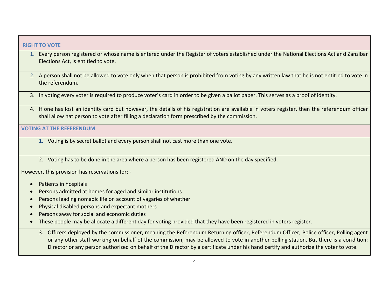#### **RIGHT TO VOTE**

- 1. Every person registered or whose name is entered under the Register of voters established under the National Elections Act and Zanzibar Elections Act, is entitled to vote.
- 2. A person shall not be allowed to vote only when that person is prohibited from voting by any written law that he is not entitled to vote in the referendum**.**
- 3. In voting every voter is required to produce voter's card in order to be given a ballot paper. This serves as a proof of identity.
- 4. If one has lost an identity card but however, the details of his registration are available in voters register, then the referendum officer shall allow hat person to vote after filling a declaration form prescribed by the commission.

#### **VOTING AT THE REFERENDUM**

- **1.** Voting is by secret ballot and every person shall not cast more than one vote.
- 2. Voting has to be done in the area where a person has been registered AND on the day specified.

However, this provision has reservations for; -

- Patients in hospitals
- Persons admitted at homes for aged and similar institutions
- Persons leading nomadic life on account of vagaries of whether
- Physical disabled persons and expectant mothers
- Persons away for social and economic duties
- These people may be allocate a different day for voting provided that they have been registered in voters register.
	- 3. Officers deployed by the commissioner, meaning the Referendum Returning officer, Referendum Officer, Police officer, Polling agent or any other staff working on behalf of the commission, may be allowed to vote in another polling station. But there is a condition: Director or any person authorized on behalf of the Director by a certificate under his hand certify and authorize the voter to vote.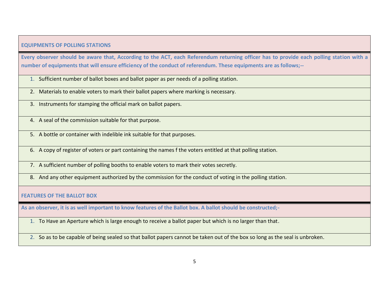# **EQUIPMENTS OF POLLING STATIONS**

**Every observer should be aware that, According to the ACT, each Referendum returning officer has to provide each polling station with a number of equipments that will ensure efficiency of the conduct of referendum. These equipments are as follows;--**

1. Sufficient number of ballot boxes and ballot paper as per needs of a polling station.

2. Materials to enable voters to mark their ballot papers where marking is necessary.

3. Instruments for stamping the official mark on ballot papers.

4. A seal of the commission suitable for that purpose.

5. A bottle or container with indelible ink suitable for that purposes.

6. A copy of register of voters or part containing the names f the voters entitled at that polling station.

7. A sufficient number of polling booths to enable voters to mark their votes secretly.

8. And any other equipment authorized by the commission for the conduct of voting in the polling station.

# **FEATURES OF THE BALLOT BOX**

**As an observer, it is as well important to know features of the Ballot box. A ballot should be constructed;-**

1. To Have an Aperture which is large enough to receive a ballot paper but which is no larger than that.

2. So as to be capable of being sealed so that ballot papers cannot be taken out of the box so long as the seal is unbroken.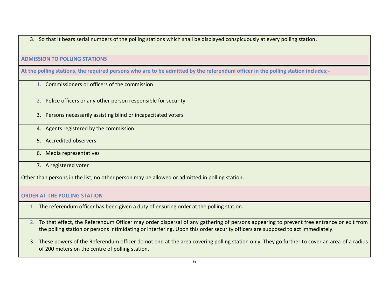3. So that it bears serial numbers of the polling stations which shall be displayed conspicuously at every polling station.

# **ADMISSION TO POLLING STATIONS**

**At the polling stations, the required persons who are to be admitted by the referendum officer in the polling station includes;-**

- 1. Commissioners or officers of the commission
- 2. Police officers or any other person responsible for security
- 3. Persons necessarily assisting blind or incapacitated voters
- 4. Agents registered by the commission
- 5. Accredited observers
- 6. Media representatives
- 7. A registered voter

Other than persons in the list, no other person may be allowed or admitted in polling station.

#### **ORDER AT THE POLLING STATION**

- 1. The referendum officer has been given a duty of ensuring order at the polling station.
- 2. To that effect, the Referendum Officer may order dispersal of any gathering of persons appearing to prevent free entrance or exit from the polling station or persons intimidating or interfering. Upon this order security officers are supposed to act immediately.
- 3. These powers of the Referendum officer do not end at the area covering polling station only. They go further to cover an area of a radius of 200 meters on the centre of polling station.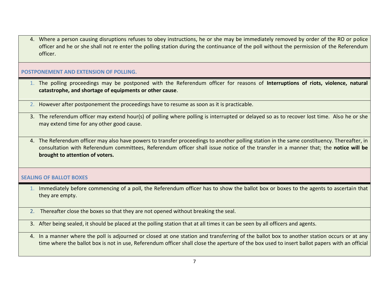4. Where a person causing disruptions refuses to obey instructions, he or she may be immediately removed by order of the RO or police officer and he or she shall not re enter the polling station during the continuance of the poll without the permission of the Referendum officer.

#### **POSTPONEMENT AND EXTENSION OF POLLING.**

- 1. The polling proceedings may be postponed with the Referendum officer for reasons of **Interruptions of riots, violence, natural catastrophe, and shortage of equipments or other cause**.
- 2. However after postponement the proceedings have to resume as soon as it is practicable.
- 3. The referendum officer may extend hour(s) of polling where polling is interrupted or delayed so as to recover lost time. Also he or she may extend time for any other good cause.
- 4. The Referendum officer may also have powers to transfer proceedings to another polling station in the same constituency. Thereafter, in consultation with Referendum committees, Referendum officer shall issue notice of the transfer in a manner that; the **notice will be brought to attention of voters.**

# **SEALING OF BALLOT BOXES**

- 1. Immediately before commencing of a poll, the Referendum officer has to show the ballot box or boxes to the agents to ascertain that they are empty.
- 2. Thereafter close the boxes so that they are not opened without breaking the seal.
- 3. After being sealed, it should be placed at the polling station that at all times it can be seen by all officers and agents.
- 4. In a manner where the poll is adjourned or closed at one station and transferring of the ballot box to another station occurs or at any time where the ballot box is not in use, Referendum officer shall close the aperture of the box used to insert ballot papers with an official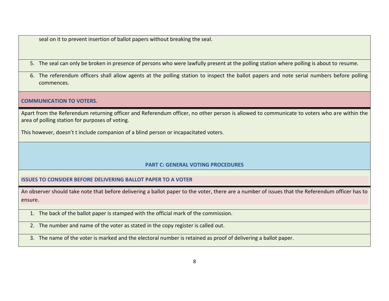seal on it to prevent insertion of ballot papers without breaking the seal.

- 5. The seal can only be broken in presence of persons who were lawfully present at the polling station where polling is about to resume.
- 6. The referendum officers shall allow agents at the polling station to inspect the ballot papers and note serial numbers before polling commences.

#### **COMMUNICATION TO VOTERS.**

Apart from the Referendum returning officer and Referendum officer, no other person is allowed to communicate to voters who are within the area of polling station for purposes of voting.

This however, doesn't t include companion of a blind person or incapacitated voters.

# **PART C: GENERAL VOTING PROCEDURES**

#### **ISSUES TO CONSIDER BEFORE DELIVERING BALLOT PAPER TO A VOTER**

An observer should take note that before delivering a ballot paper to the voter, there are a number of issues that the Referendum officer has to ensure.

- 1. The back of the ballot paper is stamped with the official mark of the commission.
- 2. The number and name of the voter as stated in the copy register is called out.
- 3. The name of the voter is marked and the electoral number is retained as proof of delivering a ballot paper.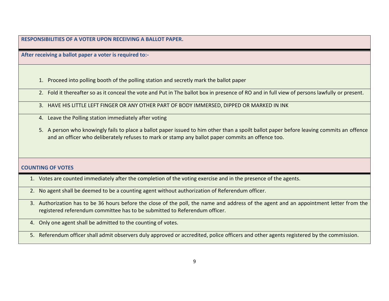**RESPONSIBILITIES OF A VOTER UPON RECEIVING A BALLOT PAPER.** 

**After receiving a ballot paper a voter is required to:-**

- 1. Proceed into polling booth of the polling station and secretly mark the ballot paper
- 2. Fold it thereafter so as it conceal the vote and Put in The ballot box in presence of RO and in full view of persons lawfully or present.
- 3. HAVE HIS LITTLE LEFT FINGER OR ANY OTHER PART OF BODY IMMERSED, DIPPED OR MARKED IN INK
- 4. Leave the Polling station immediately after voting
- 5. A person who knowingly fails to place a ballot paper issued to him other than a spoilt ballot paper before leaving commits an offence and an officer who deliberately refuses to mark or stamp any ballot paper commits an offence too.

# **COUNTING OF VOTES**

- 1. Votes are counted immediately after the completion of the voting exercise and in the presence of the agents.
- 2. No agent shall be deemed to be a counting agent without authorization of Referendum officer.
- 3. Authorization has to be 36 hours before the close of the poll, the name and address of the agent and an appointment letter from the registered referendum committee has to be submitted to Referendum officer.
- 4. Only one agent shall be admitted to the counting of votes.

5. Referendum officer shall admit observers duly approved or accredited, police officers and other agents registered by the commission.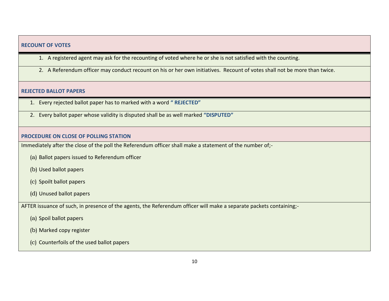#### **RECOUNT OF VOTES**

- 1. A registered agent may ask for the recounting of voted where he or she is not satisfied with the counting.
- 2. A Referendum officer may conduct recount on his or her own initiatives. Recount of votes shall not be more than twice.

#### **REJECTED BALLOT PAPERS**

- 1. Every rejected ballot paper has to marked with a word **" REJECTED"**
- 2. Every ballot paper whose validity is disputed shall be as well marked **"DISPUTED"**

# **PROCEDURE ON CLOSE OF POLLING STATION**

Immediately after the close of the poll the Referendum officer shall make a statement of the number of;-

- (a) Ballot papers issued to Referendum officer
- (b) Used ballot papers
- (c) Spoilt ballot papers
- (d) Unused ballot papers

AFTER issuance of such, in presence of the agents, the Referendum officer will make a separate packets containing;-

- (a) Spoil ballot papers
- (b) Marked copy register
- (c) Counterfoils of the used ballot papers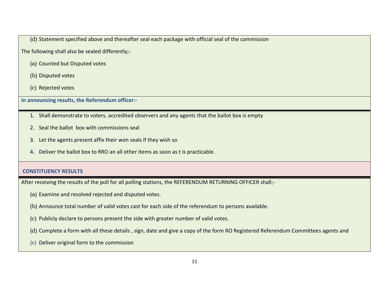(d) Statement specified above and thereafter seal each package with official seal of the commission

The following shall also be sealed differently;-

- (a) Counted but Disputed votes
- (b) Disputed votes
- (c) Rejected votes

**In announcing results, the Referendum officer:-**

- 1. Shall demonstrate to voters, accredited observers and any agents that the ballot box is empty
- 2. Seal the ballot box with commissions seal
- 3. Let the agents present affix their won seals if they wish so
- **4.** Deliver the ballot box to RRO an all other items as soon as t is practicable.

# **CONSTITUENCY RESULTS**

After receiving the results of the poll for all polling stations, the REFERENDUM RETURNING OFFICER shall;-

- (a) Examine and resolved rejected and disputed votes.
- (b) Announce total number of valid votes cast for each side of the referendum to persons available.
- (c) Publicly declare to persons present the side with greater number of valid votes.
- (d) Complete a form with all these details , sign, date and give a copy of the form RO Registered Referendum Committees agents and
- (e) Deliver original form to the commission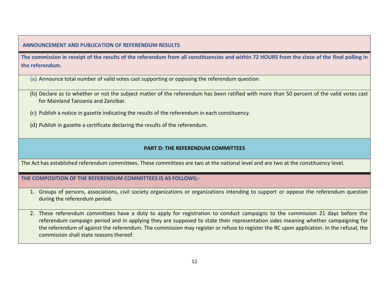# **ANNOUNCEMENT AND PUBLICATION OF REFERENDUM RESULTS**

**The commission in receipt of the results of the referendum from all constituencies and within 72 HOURS from the close of the final polling in the referendum.** 

(a) Announce total number of valid votes cast supporting or opposing the referendum question.

- (b) Declare as to whether or not the subject matter of the referendum has been ratified with more than 50 percent of the valid votes cast for Mainland Tanzania and Zanzibar.
- (c) Publish a notice in gazette indicating the results of the referendum in each constituency.

(d) Publish in gazette a certificate declaring the results of the referendum.

# **PART D: THE REFERENDUM COMMITTEES**

The Act has established referendum committees. These committees are two at the national level and are two at the constituency level.

**THE COMPOSITION OF THE REFERENDUM COMMITTEES IS AS FOLLOWS;-**

1. Groups of persons, associations, civil society organizations or organizations intending to support or oppose the referendum question during the referendum period.

2. These referendum committees have a duty to apply for registration to conduct campaigns to the commission 21 days before the referendum campaign period and in applying they are supposed to state their representation sides meaning whether campaigning for the referendum of against the referendum. The commission may register or refuse to register the RC upon application. In the refusal, the commission shall state reasons thereof.